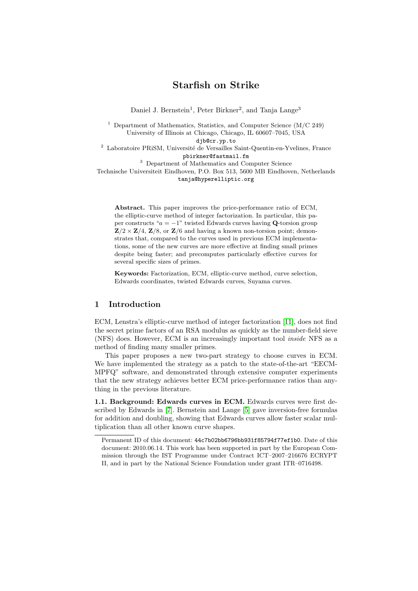# Starfish on Strike

Daniel J. Bernstein<sup>1</sup>, Peter Birkner<sup>2</sup>, and Tanja Lange<sup>3</sup>

<sup>1</sup> Department of Mathematics, Statistics, and Computer Science  $(M/C 249)$ University of Illinois at Chicago, Chicago, IL 60607–7045, USA

djb@cr.yp.to

 $^{\rm 2}$  Laboratoire PRiSM, Université de Versailles Saint-Quentin-en-Yvelines, France pbirkner@fastmail.fm

<sup>3</sup> Department of Mathematics and Computer Science

Technische Universiteit Eindhoven, P.O. Box 513, 5600 MB Eindhoven, Netherlands tanja@hyperelliptic.org

Abstract. This paper improves the price-performance ratio of ECM, the elliptic-curve method of integer factorization. In particular, this paper constructs " $a = -1$ " twisted Edwards curves having Q-torsion group  $\mathbf{Z}/2 \times \mathbf{Z}/4$ ,  $\mathbf{Z}/8$ , or  $\mathbf{Z}/6$  and having a known non-torsion point; demonstrates that, compared to the curves used in previous ECM implementations, some of the new curves are more effective at finding small primes despite being faster; and precomputes particularly effective curves for several specific sizes of primes.

<span id="page-0-2"></span>Keywords: Factorization, ECM, elliptic-curve method, curve selection, Edwards coordinates, twisted Edwards curves, Suyama curves.

### 1 Introduction

ECM, Lenstra's elliptic-curve method of integer factorization [\[11\]](#page-15-0), does not find the secret prime factors of an RSA modulus as quickly as the number-field sieve (NFS) does. However, ECM is an increasingly important tool inside NFS as a method of finding many smaller primes.

This paper proposes a new two-part strategy to choose curves in ECM. We have implemented the strategy as a patch to the state-of-the-art "EECM-MPFQ" software, and demonstrated through extensive computer experiments that the new strategy achieves better ECM price-performance ratios than anything in the previous literature.

<span id="page-0-1"></span>1.1. Background: Edwards curves in ECM. Edwards curves were first described by Edwards in [\[7\]](#page-15-1). Bernstein and Lange [\[5\]](#page-14-0) gave inversion-free formulas for addition and doubling, showing that Edwards curves allow faster scalar multiplication than all other known curve shapes.

<span id="page-0-0"></span>Permanent ID of this document: 44c7b02bb6796bb931f85794f77ef1b0. Date of this document: 2010.06.14. This work has been supported in part by the European Commission through the IST Programme under Contract ICT–2007–216676 ECRYPT II, and in part by the National Science Foundation under grant ITR–0716498.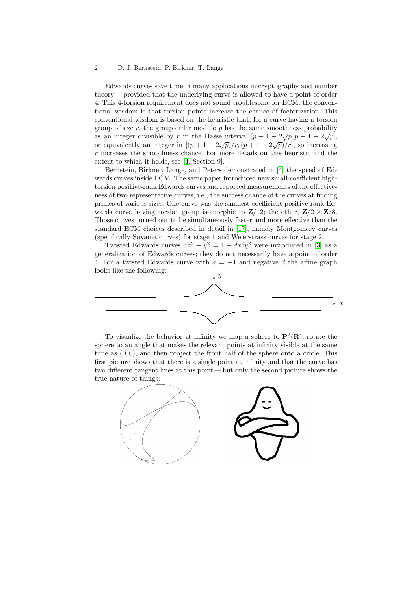#### 2 D. J. Bernstein, P. Birkner, T. Lange

Edwards curves save time in many applications in cryptography and number theory — provided that the underlying curve is allowed to have a point of order 4. This 4-torsion requirement does not sound troublesome for ECM: the conventional wisdom is that torsion points increase the chance of factorization. This conventional wisdom is based on the heuristic that, for a curve having a torsion group of size  $r$ , the group order modulo  $p$  has the same smoothness probability as an integer divisible by r in the Hasse interval  $[p + 1 - 2\sqrt{p}, p + 1 + 2\sqrt{p}],$ or equivalently an integer in  $[(p+1-2\sqrt{p})/r,(p+1+2\sqrt{p})/r]$ , so increasing r increases the smoothness chance. For more details on this heuristic and the extent to which it holds, see [\[4,](#page-14-1) Section 9].

<span id="page-1-2"></span><span id="page-1-1"></span>Bernstein, Birkner, Lange, and Peters demonstrated in [\[4\]](#page-14-1) the speed of Edwards curves inside ECM. The same paper introduced new small-coefficient hightorsion positive-rank Edwards curves and reported measurements of the effectiveness of two representative curves, i.e., the success chance of the curves at finding primes of various sizes. One curve was the smallest-coefficient positive-rank Edwards curve having torsion group isomorphic to  $\mathbb{Z}/12$ ; the other,  $\mathbb{Z}/2 \times \mathbb{Z}/8$ . Those curves turned out to be simultaneously faster and more effective than the standard ECM choices described in detail in [\[17\]](#page-15-2), namely Montgomery curves (specifically Suyama curves) for stage 1 and Weierstrass curves for stage 2.

<span id="page-1-3"></span><span id="page-1-0"></span>Twisted Edwards curves  $ax^2 + y^2 = 1 + dx^2y^2$  were introduced in [\[3\]](#page-14-2) as a generalization of Edwards curves; they do not necessarily have a point of order 4. For a twisted Edwards curve with  $a = -1$  and negative d the affine graph looks like the following:



To visualize the behavior at infinity we map a sphere to  $\mathbf{P}^2(\mathbf{R})$ , rotate the sphere to an angle that makes the relevant points at infinity visible at the same time as  $(0, 0)$ , and then project the front half of the sphere onto a circle. This first picture shows that there is a single point at infinity and that the curve has two different tangent lines at this point— but only the second picture shows the true nature of things:

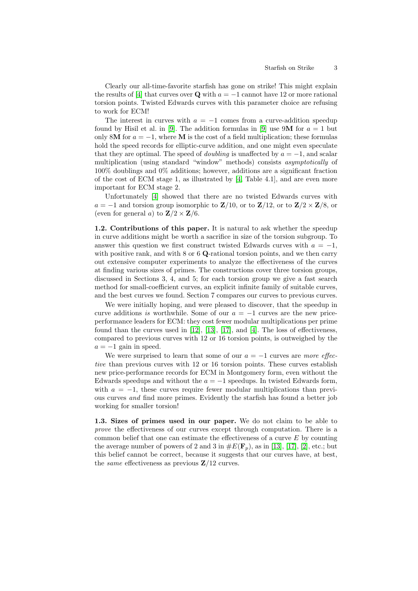<span id="page-2-1"></span>Clearly our all-time-favorite starfish has gone on strike! This might explain the results of [\[4\]](#page-14-1) that curves over Q with  $a = -1$  cannot have 12 or more rational torsion points. Twisted Edwards curves with this parameter choice are refusing to work for ECM!

<span id="page-2-6"></span><span id="page-2-5"></span>The interest in curves with  $a = -1$  comes from a curve-addition speedup found by Hisil et al. in [\[9\]](#page-15-3). The addition formulas in [9] use 9M for  $a = 1$  but only 8M for  $a = -1$ , where M is the cost of a field multiplication; these formulas hold the speed records for elliptic-curve addition, and one might even speculate that they are optimal. The speed of *doubling* is unaffected by  $a = -1$ , and scalar multiplication (using standard "window" methods) consists asymptotically of 100% doublings and 0% additions; however, additions are a significant fraction of the cost of ECM stage 1, as illustrated by [\[4,](#page-14-1) Table 4.1], and are even more important for ECM stage 2.

<span id="page-2-3"></span><span id="page-2-2"></span>Unfortunately [\[4\]](#page-14-1) showed that there are no twisted Edwards curves with  $a = -1$  and torsion group isomorphic to  $\mathbf{Z}/10$ , or to  $\mathbf{Z}/12$ , or to  $\mathbf{Z}/2 \times \mathbf{Z}/8$ , or (even for general a) to  $\mathbf{Z}/2 \times \mathbf{Z}/6$ .

1.2. Contributions of this paper. It is natural to ask whether the speedup in curve additions might be worth a sacrifice in size of the torsion subgroup. To answer this question we first construct twisted Edwards curves with  $a = -1$ , with positive rank, and with  $8$  or  $6$  Q-rational torsion points, and we then carry out extensive computer experiments to analyze the effectiveness of the curves at finding various sizes of primes. The constructions cover three torsion groups, discussed in Sections 3, 4, and 5; for each torsion group we give a fast search method for small-coefficient curves, an explicit infinite family of suitable curves, and the best curves we found. Section 7 compares our curves to previous curves.

<span id="page-2-10"></span><span id="page-2-8"></span><span id="page-2-7"></span><span id="page-2-4"></span>We were initially hoping, and were pleased to discover, that the speedup in curve additions is worthwhile. Some of our  $a = -1$  curves are the new priceperformance leaders for ECM: they cost fewer modular multiplications per prime found than the curves used in  $[12]$ ,  $[13]$ ,  $[17]$ , and  $[4]$ . The loss of effectiveness, compared to previous curves with 12 or 16 torsion points, is outweighed by the  $a = -1$  gain in speed.

We were surprised to learn that some of our  $a = -1$  curves are more effective than previous curves with 12 or 16 torsion points. These curves establish new price-performance records for ECM in Montgomery form, even without the Edwards speedups and without the  $a = -1$  speedups. In twisted Edwards form, with  $a = -1$ , these curves require fewer modular multiplications than previous curves and find more primes. Evidently the starfish has found a better job working for smaller torsion!

<span id="page-2-11"></span><span id="page-2-9"></span><span id="page-2-0"></span>1.3. Sizes of primes used in our paper. We do not claim to be able to prove the effectiveness of our curves except through computation. There is a common belief that one can estimate the effectiveness of a curve  $E$  by counting the average number of powers of 2 and 3 in  $\#E(\mathbf{F}_p)$ , as in [\[13\]](#page-15-5), [\[17\]](#page-15-2), [\[2\]](#page-14-3), etc.; but this belief cannot be correct, because it suggests that our curves have, at best, the *same* effectiveness as previous  $\mathbb{Z}/12$  curves.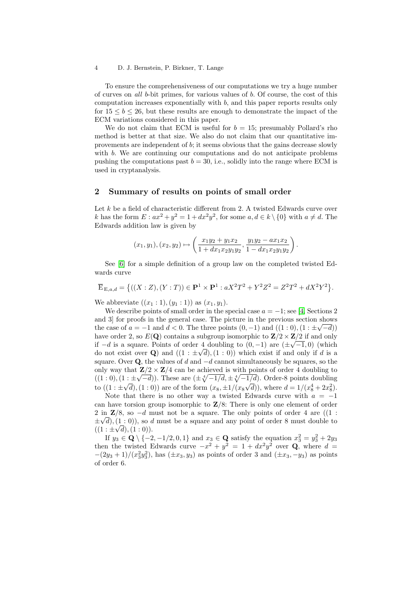4 D. J. Bernstein, P. Birkner, T. Lange

To ensure the comprehensiveness of our computations we try a huge number of curves on all b-bit primes, for various values of b. Of course, the cost of this computation increases exponentially with  $b$ , and this paper reports results only for  $15 \le b \le 26$ , but these results are enough to demonstrate the impact of the ECM variations considered in this paper.

We do not claim that ECM is useful for  $b = 15$ ; presumably Pollard's rho method is better at that size. We also do not claim that our quantitative improvements are independent of b; it seems obvious that the gains decrease slowly with b. We are continuing our computations and do not anticipate problems pushing the computations past  $b = 30$ , i.e., solidly into the range where ECM is used in cryptanalysis.

#### 2 Summary of results on points of small order

Let  $k$  be a field of characteristic different from 2. A twisted Edwards curve over k has the form  $E: ax^2 + y^2 = 1 + dx^2y^2$ , for some  $a, d \in k \setminus \{0\}$  with  $a \neq d$ . The Edwards addition law is given by

<span id="page-3-0"></span>
$$
(x_1, y_1), (x_2, y_2) \mapsto \left(\frac{x_1y_2 + y_1x_2}{1 + dx_1x_2y_1y_2}, \frac{y_1y_2 - ax_1x_2}{1 - dx_1x_2y_1y_2}\right).
$$

<span id="page-3-1"></span>See [\[6\]](#page-14-4) for a simple definition of a group law on the completed twisted Edwards curve

$$
\overline{\mathbf{E}}_{\mathbf{E},a,d} = \{((X:Z),(Y:T)) \in \mathbf{P}^1 \times \mathbf{P}^1 : aX^2T^2 + Y^2Z^2 = Z^2T^2 + dX^2Y^2\}.
$$

We abbreviate  $((x_1 : 1), (y_1 : 1))$  as  $(x_1, y_1)$ .

We describe points of small order in the special case  $a = -1$ ; see [\[4,](#page-14-1) Sections 2] and 3] for proofs in the general case. The picture in the previous section shows the case of  $a = -1$  and  $d < 0$ . The three points  $(0, -1)$  and  $((1:0), (1: \pm \sqrt{-d}))$ have order 2, so  $E(\mathbf{Q})$  contains a subgroup isomorphic to  $\mathbf{Z}/2 \times \mathbf{Z}/2$  if and only if  $-d$  is a square. Points of order 4 doubling to  $(0, -1)$  are  $(\pm \sqrt{-1}, 0)$  (which do not exist over Q and  $((1 : \pm \sqrt{d}), (1 : 0))$  which exist if and only if d is a square. Over Q, the values of d and  $-d$  cannot simultaneously be squares, so the only way that  $\mathbb{Z}/2 \times \mathbb{Z}/4$  can be achieved is with points of order 4 doubling to  $((1:0), (1:\pm\sqrt{-d}))$ . These are  $(\pm\sqrt[4]{-1/d}, \pm\sqrt[4]{-1/d})$ . Order-8 points doubling to  $((1 : \pm \sqrt{d}), (1 : 0))$  are of the form  $(x_8, \pm 1/(x_8\sqrt{d})),$  where  $d = 1/(x_8^4 + 2x_8^2)$ .

Note that there is no other way a twisted Edwards curve with  $a = -1$ can have torsion group isomorphic to  $\mathbb{Z}/8$ : There is only one element of order 2 in  $\mathbb{Z}/8$ , so  $-d$  must not be a square. The only points of order 4 are ((1 :  $\pm \sqrt{d}$ , (1:0), so d must be a square and any point of order 8 must double to  $((1 : \pm \sqrt{d}), (1 : 0)).$ 

If  $y_3 \in \mathbf{Q} \setminus \{-2, -1/2, 0, 1\}$  and  $x_3 \in \mathbf{Q}$  satisfy the equation  $x_3^2 = y_3^2 + 2y_3$ then the twisted Edwards curve  $-x^2 + y^2 = 1 + dx^2y^2$  over Q, where  $d =$  $-(2y_3 + 1)/(x_3^2y_3^2)$ , has  $(\pm x_3, y_3)$  as points of order 3 and  $(\pm x_3, -y_3)$  as points of order 6.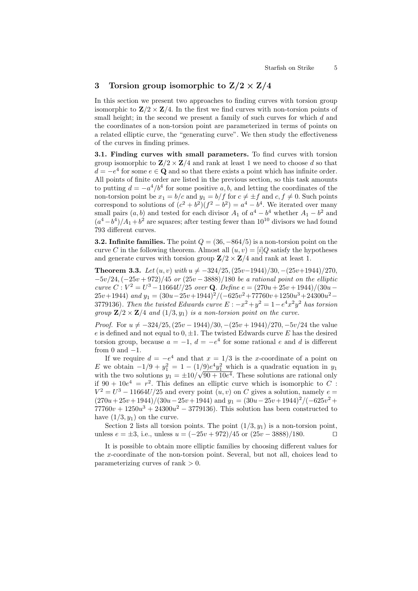### 3 Torsion group isomorphic to  $Z/2 \times Z/4$

In this section we present two approaches to finding curves with torsion group isomorphic to  $\mathbf{Z}/2 \times \mathbf{Z}/4$ . In the first we find curves with non-torsion points of small height; in the second we present a family of such curves for which d and the coordinates of a non-torsion point are parameterized in terms of points on a related elliptic curve, the "generating curve". We then study the effectiveness of the curves in finding primes.

3.1. Finding curves with small parameters. To find curves with torsion group isomorphic to  $\mathbf{Z}/2 \times \mathbf{Z}/4$  and rank at least 1 we need to choose d so that  $d = -e^4$  for some  $e \in \mathbf{Q}$  and so that there exists a point which has infinite order. All points of finite order are listed in the previous section, so this task amounts to putting  $d = -a^4/b^4$  for some positive a, b, and letting the coordinates of the non-torsion point be  $x_1 = b/c$  and  $y_1 = b/f$  for  $c \neq \pm f$  and  $c, f \neq 0$ . Such points correspond to solutions of  $(c^2 + b^2)(f^2 - b^2) = a^4 - b^4$ . We iterated over many small pairs  $(a, b)$  and tested for each divisor  $A_1$  of  $a^4 - b^4$  whether  $A_1 - b^2$  and  $(a^4-b^4)/A_1+b^2$  are squares; after testing fewer than  $10^{10}$  divisors we had found 793 different curves.

**3.2. Infinite families.** The point  $Q = (36, -864/5)$  is a non-torsion point on the curve C in the following theorem. Almost all  $(u, v) = [i]Q$  satisfy the hypotheses and generate curves with torsion group  $\mathbf{Z}/2 \times \mathbf{Z}/4$  and rank at least 1.

**Theorem 3.3.** Let  $(u, v)$  with  $u \neq -324/25$ ,  $(25v-1944)/30$ ,  $-(25v+1944)/270$ ,  $-5v/24,(-25v+972)/45$  or  $(25v-3888)/180$  be a rational point on the elliptic curve  $C: V^2 = U^3 - 11664U/25$  over **Q**. Define  $e = (270u + 25v + 1944)/(30u 25v+1944$ ) and  $y_1 = (30u-25v+1944)^2/(-625v^2+77760v+1250u^3+24300u^2-$ 3779136). Then the twisted Edwards curve  $E: -x^2 + y^2 = 1 - e^4 x^2 y^2$  has torsion group  $\mathbf{Z}/2 \times \mathbf{Z}/4$  and  $(1/3, y_1)$  is a non-torsion point on the curve.

*Proof.* For  $u \neq -324/25$ ,  $(25v - 1944)/30$ ,  $-(25v + 1944)/270$ ,  $-5v/24$  the value e is defined and not equal to  $0, \pm 1$ . The twisted Edwards curve E has the desired torsion group, because  $a = -1$ ,  $d = -e^4$  for some rational e and d is different from  $0$  and  $-1$ .

If we require  $d = -e^4$  and that  $x = 1/3$  is the x-coordinate of a point on E we obtain  $-1/9 + y_1^2 = 1 - (1/9)e^4y_1^2$  which is a quadratic equation in  $y_1$ with the two solutions  $y_1 = \pm 10/\sqrt{90 + 10e^4}$ . These solutions are rational only if  $90 + 10e^4 = r^2$ . This defines an elliptic curve which is isomorphic to C:  $V^2 = U^3 - 11664U/25$  and every point  $(u, v)$  on C gives a solution, namely  $e =$  $(270u + 25v + 1944)/(30u - 25v + 1944)$  and  $y_1 = (30u - 25v + 1944)^2/(-625v^2 +$  $77760v + 1250u^3 + 24300u^2 - 3779136$ . This solution has been constructed to have  $(1/3, y_1)$  on the curve.

Section 2 lists all torsion points. The point  $(1/3, y_1)$  is a non-torsion point, unless  $e = \pm 3$ , i.e., unless  $u = (-25v + 972)/45$  or  $(25v - 3888)/180$ . □

It is possible to obtain more elliptic families by choosing different values for the x-coordinate of the non-torsion point. Several, but not all, choices lead to parameterizing curves of rank  $> 0$ .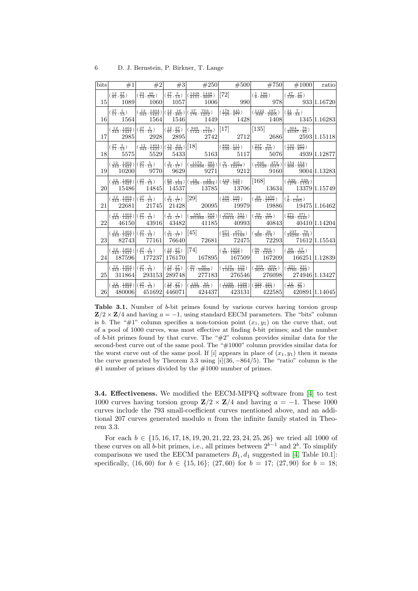| 6 | D. J. Bernstein, P. Birkner, T. Lange |  |  |
|---|---------------------------------------|--|--|
|   |                                       |  |  |

|    |          |  | bits $\ket{+1}$ $\ket{+2}$ $\ket{+3}$ $\ket{+250}$ $\ket{+500}$ $\ket{+750}$ $\ket{+1000}$                                                                                                                                                                                                                                                                                                                                                                                                                                                                      |  | ratio |
|----|----------|--|-----------------------------------------------------------------------------------------------------------------------------------------------------------------------------------------------------------------------------------------------------------------------------------------------------------------------------------------------------------------------------------------------------------------------------------------------------------------------------------------------------------------------------------------------------------------|--|-------|
|    |          |  |                                                                                                                                                                                                                                                                                                                                                                                                                                                                                                                                                                 |  |       |
|    |          |  | $\left  \left( \frac{27}{11}, \frac{5}{13} \right) \right  \left( \frac{12}{343}, \frac{1404}{1421} \right) \left  \left( \frac{12}{41}, \frac{16}{461} \right) \right  \left( \frac{57}{176}, \frac{703}{1252} \right) \right  \left( \frac{178}{729}, \frac{445}{477} \right) \left  \left( \frac{1122}{949}, \frac{187}{2405} \right) \right  \left( \frac{21}{38}, \frac{7}{34} \right)$<br>$16$ 1564 1564 1546 1449 1428 1408 1345 1.16283                                                                                                                 |  |       |
|    | 17 2985  |  | $\left  \left( \frac{12}{343}, \frac{1404}{1421} \right) \right  \left( \frac{27}{11}, \frac{5}{13} \right) \right  \left( \frac{12}{91}, \frac{27}{29} \right) \left  \left( \frac{949}{1122}, \frac{73}{1110} \right) \right  \left[ 17 \right] \right $ $\left  \left[ 135 \right]$ $\left  \left( \frac{304}{44187}, \frac{76}{85} \right) \right $<br>$2928$ 2895 2742 2712 2686 2593 1.15118                                                                                                                                                              |  |       |
|    |          |  | $\left  \left( \frac{27}{11}, \frac{5}{13} \right) - \left  \left( \frac{12}{343}, \frac{1404}{1421} \right) \right  \left( \frac{13}{16}, \frac{64}{233} \right) \right  [18] \right $ $\left  \left( \frac{888}{539}, \frac{111}{401} \right) - \left  \left( \frac{237}{518}, \frac{79}{241} \right) - \left  \left( \frac{133}{219}, \frac{665}{877} \right) \right  \right $                                                                                                                                                                               |  |       |
|    |          |  | $\left  \left( \frac{12}{343}, \frac{1404}{1421} \right) \right  \left( \frac{27}{11}, \frac{5}{13} \right) \right  \left( \frac{3}{14}, \frac{1}{17} \right) \left  \left( \frac{1173}{161896}, \frac{391}{392} \right) \right  \left( \frac{9}{13}, \frac{405}{12277} \right) \left  \left( \frac{946}{11529}, \frac{473}{1017} \right) \right  \left( \frac{154}{309}, \frac{154}{339} \right)$<br>$19  10200   9770   9629   9271   9212   9160   9004  1.13283$                                                                                            |  |       |
|    |          |  | $\left  \left( \frac{12}{343}, \frac{1404}{1421} \right) \right  \left( \frac{27}{11}, \frac{5}{13} \right) \right  \left  \left( \frac{63}{20}, \frac{1}{244} \right) \right  \left( \frac{19}{1328}, \frac{19}{10064} \right) \left  \left( \frac{119}{62}, \frac{119}{194} \right) \right  \left  \left[ 168 \right] \right  \right $<br>$20 $ 15486 14845 14537 13785 13706 13634 13379 1.15749                                                                                                                                                             |  |       |
|    | 21 22681 |  | $\left  \left( \frac{12}{343}, \frac{1404}{1421} \right) \right  \left( \frac{27}{11}, \frac{5}{13} \right) \right  \left( \frac{3}{14}, \frac{1}{17} \right) \left[ \left[ 29 \right] \right] \qquad \left  \left( \frac{106}{555}, \frac{106}{771} \right) \right  \left( \frac{28}{101}, \frac{1456}{2777} \right) \left  \left( \frac{7}{6}, \frac{7}{1385} \right) \right $<br>21745 21428 20095 19979 19886 19475 1.16462                                                                                                                                 |  |       |
|    |          |  | $\left  \left( \frac{12}{343}, \frac{1404}{1421} \right) \right  \left( \frac{27}{11}, \frac{5}{13} \right) \right  \left( \frac{3}{14}, \frac{1}{17} \right) \left  \left( \frac{583}{391986}, \frac{583}{585} \right) \right  \left( \frac{2755}{10816}, \frac{551}{676} \right) \left  \left( \frac{59}{133}, \frac{59}{377} \right) \right  \left( \frac{371}{768}, \frac{371}{5440} \right)$<br>$22 \begin{array}{ l} 46150 & 43916 \end{array}$ $43482 \begin{array}{ l} 41185 & 40993 \end{array}$ $40843 \begin{array}{ l} 40410 \end{array}$ $1.14204$ |  |       |
|    |          |  | $\left  \left( \frac{12}{343}, \frac{1404}{1421} \right) \right  \left( \frac{27}{11}, \frac{5}{13} \right) \right  \left( \frac{3}{14}, \frac{1}{17} \right) \left[ \left( \frac{45}{11} \right] \right] \left( \frac{671}{234}, \frac{671}{11169} \right) \left  \left( \frac{2}{309}, \frac{26}{519} \right) \right  \left( \frac{237}{24256}, \frac{79}{164} \right)$<br>$23 \mid 82743 \mid 77161 \mid 76640 \mid 72681 \mid 72475 \mid 72293 \mid 71612 \mid 1.15543$                                                                                     |  |       |
|    |          |  | $\left  \left( \frac{12}{343}, \frac{1404}{1421} \right) \right  \left( \frac{27}{11}, \frac{5}{13} \right) \right  \left  \left( \frac{12}{91}, \frac{27}{29} \right) \right  \left[ 74 \right] \qquad \left  \left( \frac{8}{39}, \frac{1352}{1385} \right) \right  \left  \left( \frac{96}{41}, \frac{864}{1241} \right) \right  \left  \left( \frac{68}{609}, \frac{17}{105} \right) \right $<br>$24$ 187596 177237 176170 167895 167509 167209 166251 1.12839                                                                                              |  |       |
| 25 |          |  | $\left  \left( \frac{12}{343}, \frac{1404}{1421} \right) \right  \left( \frac{27}{11}, \frac{5}{13} \right) \right  \left  \left( \frac{12}{91}, \frac{27}{29} \right) \right  \left( \frac{20}{11}, \frac{80}{10909} \right) \right  \left  \left( \frac{119}{11649}, \frac{119}{339} \right) \right  \left( \frac{959}{3655}, \frac{959}{3845} \right) \left  \left( \frac{231}{5780}, \frac{231}{289} \right) \$<br>311864 293153 289748 277183 276546 276098 274946 1.13427                                                                                 |  |       |
|    |          |  |                                                                                                                                                                                                                                                                                                                                                                                                                                                                                                                                                                 |  |       |

Table 3.1. Number of b-bit primes found by various curves having torsion group  $\mathbf{Z}/2 \times \mathbf{Z}/4$  and having  $a = -1$ , using standard EECM parameters. The "bits" column is b. The " $\#1$ " column specifies a non-torsion point  $(x_1, y_1)$  on the curve that, out of a pool of 1000 curves, was most effective at finding b-bit primes; and the number of b-bit primes found by that curve. The " $#2"$  column provides similar data for the second-best curve out of the same pool. The "#1000" column provides similar data for the worst curve out of the same pool. If  $[i]$  appears in place of  $(x_1, y_1)$  then it means the curve generated by Theorem 3.3 using  $[i](36, -864/5)$ . The "ratio" column is the  $#1$  number of primes divided by the  $#1000$  number of primes.

<span id="page-5-0"></span>3.4. Effectiveness. We modified the EECM-MPFQ software from [\[4\]](#page-14-1) to test 1000 curves having torsion group  $\mathbb{Z}/2 \times \mathbb{Z}/4$  and having  $a = -1$ . These 1000 curves include the 793 small-coefficient curves mentioned above, and an additional 207 curves generated modulo  $n$  from the infinite family stated in Theorem 3.3.

<span id="page-5-1"></span>For each  $b \in \{15, 16, 17, 18, 19, 20, 21, 22, 23, 24, 25, 26\}$  we tried all 1000 of these curves on all b-bit primes, i.e., all primes between  $2^{b-1}$  and  $2^b$ . To simplify comparisons we used the EECM parameters  $B_1, d_1$  suggested in [\[4,](#page-14-1) Table 10.1]: specifically,  $(16, 60)$  for  $b \in \{15, 16\}$ ;  $(27, 60)$  for  $b = 17$ ;  $(27, 90)$  for  $b = 18$ ;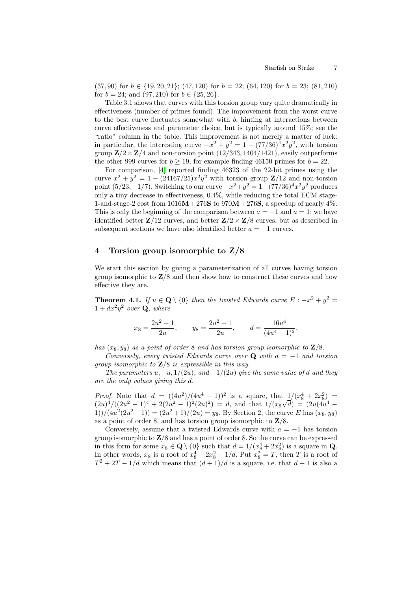$(37, 90)$  for  $b \in \{19, 20, 21\}$ ;  $(47, 120)$  for  $b = 22$ ;  $(64, 120)$  for  $b = 23$ ;  $(81, 210)$ for  $b = 24$ ; and  $(97, 210)$  for  $b \in \{25, 26\}.$ 

Table 3.1 shows that curves with this torsion group vary quite dramatically in effectiveness (number of primes found). The improvement from the worst curve to the best curve fluctuates somewhat with  $b$ , hinting at interactions between curve effectiveness and parameter choice, but is typically around 15%; see the "ratio" column in the table. This improvement is not merely a matter of luck: in particular, the interesting curve  $-x^2 + y^2 = 1 - (77/36)^4 x^2 y^2$ , with torsion group  $\mathbf{Z}/2 \times \mathbf{Z}/4$  and non-torsion point  $(12/343, 1404/1421)$ , easily outperforms the other 999 curves for  $b \ge 19$ , for example finding 46150 primes for  $b = 22$ .

<span id="page-6-0"></span>For comparison, [\[4\]](#page-14-1) reported finding 46323 of the 22-bit primes using the curve  $x^2 + y^2 = 1 - (24167/25)x^2y^2$  with torsion group  $\mathbb{Z}/12$  and non-torsion point  $(5/23, -1/7)$ . Switching to our curve  $-x^2 + y^2 = 1 - (77/36)^4 x^2 y^2$  produces only a tiny decrease in effectiveness, 0.4%, while reducing the total ECM stage-1-and-stage-2 cost from  $1016M + 276S$  to  $970M + 276S$ , a speedup of nearly 4%. This is only the beginning of the comparison between  $a = -1$  and  $a = 1$ : we have identified better  $\mathbf{Z}/12$  curves, and better  $\mathbf{Z}/2 \times \mathbf{Z}/8$  curves, but as described in subsequent sections we have also identified better  $a = -1$  curves.

## 4 Torsion group isomorphic to Z/8

We start this section by giving a parameterization of all curves having torsion group isomorphic to  $\mathbb{Z}/8$  and then show how to construct these curves and how effective they are.

**Theorem 4.1.** If  $u \in \mathbf{Q} \setminus \{0\}$  then the twisted Edwards curve  $E : -x^2 + y^2 = 0$  $1 + dx^2y^2$  over **Q**, where

$$
x_8 = \frac{2u^2 - 1}{2u}
$$
,  $y_8 = \frac{2u^2 + 1}{2u}$ ,  $d = \frac{16u^4}{(4u^4 - 1)^2}$ ,

has  $(x_8, y_8)$  as a point of order 8 and has torsion group isomorphic to  $\mathbf{Z}/8$ .

Conversely, every twisted Edwards curve over Q with  $a = -1$  and torsion group isomorphic to  $\mathbb{Z}/8$  is expressible in this way.

The parameters  $u, -u, 1/(2u)$ , and  $-1/(2u)$  give the same value of d and they are the only values giving this d.

*Proof.* Note that  $d = ((4u^2)/(4u^4 - 1))^2$  is a square, that  $1/(x_8^4 + 2x_8^2)$  $(2u)^4/((2u^2-1)^4+2(2u^2-1)^2(2u)^2) = d$ , and that  $1/(x_8)$ √  $\bar{d}) = (2u(4u^4 -$ 1))/ $(4u^2(2u^2-1)) = (2u^2+1)/(2u) = y_8$ . By Section 2, the curve E has  $(x_8, y_8)$ as a point of order 8, and has torsion group isomorphic to  $\mathbf{Z}/8$ .

Conversely, assume that a twisted Edwards curve with  $a = -1$  has torsion group isomorphic to  $\mathbb{Z}/8$  and has a point of order 8. So the curve can be expressed in this form for some  $x_8 \in \mathbf{Q} \setminus \{0\}$  such that  $d = 1/(x_8^4 + 2x_8^2)$  is a square in **Q**. In other words,  $x_8$  is a root of  $x_8^4 + 2x_8^2 - 1/d$ . Put  $x_8^2 = T$ , then T is a root of  $T^2 + 2T - 1/d$  which means that  $(d+1)/d$  is a square, i.e. that  $d+1$  is also a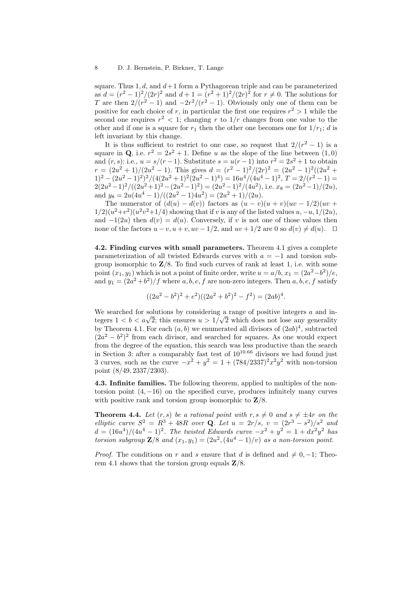square. Thus  $1, d$ , and  $d+1$  form a Pythagorean triple and can be parameterized as  $d = (r^2 - 1)^2/(2r)^2$  and  $d + 1 = (r^2 + 1)^2/(2r)^2$  for  $r \neq 0$ . The solutions for T are then  $2/(r^2-1)$  and  $-2r^2/(r^2-1)$ . Obviously only one of them can be positive for each choice of r, in particular the first one requires  $r^2 > 1$  while the second one requires  $r^2 < 1$ ; changing r to  $1/r$  changes from one value to the other and if one is a square for  $r_1$  then the other one becomes one for  $1/r_1$ ; d is left invariant by this change.

It is thus sufficient to restrict to one case, so request that  $2/(r^2-1)$  is a square in Q, i.e.  $r^2 = 2s^2 + 1$ . Define u as the slope of the line between  $(1,0)$ and  $(r, s)$ : i.e.,  $u = s/(r - 1)$ . Substitute  $s = u(r - 1)$  into  $r^2 = 2s^2 + 1$  to obtain  $r = (2u^2 + 1)/(2u^2 - 1)$ . This gives  $d = (r^2 - 1)^2/(2r)^2 = (2u^2 - 1)^2((2u^2 +$  $1)^2 - (2u^2 - 1)^2^2/(4(2u^2 + 1)^2(2u^2 - 1)^4) = 16u^4/(4u^4 - 1)^2, T = 2/(r^2 - 1) =$  $2(2u^2-1)^2/((2u^2+1)^2-(2u^2-1)^2)=(2u^2-1)^2/(4u^2)$ , i.e.  $x_8=(2u^2-1)/(2u)$ , and  $y_8 = 2u(4u^4 - 1)/((2u^2 - 1)4u^2) = (2u^2 + 1)/(2u)$ .

The numerator of  $(d(u) - d(v))$  factors as  $(u - v)(u + v)(uv - 1/2)(uv + v)$  $1/2$  $(u<sup>2</sup>+v<sup>2</sup>)(u<sup>2</sup>v<sup>2</sup>+1/4)$  showing that if v is any of the listed values  $u, -u, 1/(2u)$ , and  $-1(2u)$  then  $d(v) = d(u)$ . Conversely, if v is not one of those values then none of the factors  $u - v$ ,  $u + v$ ,  $uv - 1/2$ , and  $uv + 1/2$  are 0 so  $d(v) \neq d(u)$ . □

4.2. Finding curves with small parameters. Theorem 4.1 gives a complete parameterization of all twisted Edwards curves with  $a = -1$  and torsion subgroup isomorphic to  $\mathbb{Z}/8$ . To find such curves of rank at least 1, i.e. with some point  $(x_1, y_1)$  which is not a point of finite order, write  $u = a/b$ ,  $x_1 = (2a^2 - b^2)/e$ , and  $y_1 = (2a^2 + b^2)/f$  where  $a, b, e, f$  are non-zero integers. Then  $a, b, e, f$  satisfy

$$
((2a2 - b2)2 + e2)((2a2 + b2)2 - f2) = (2ab)4.
$$

We searched for solutions by considering a range of positive integers  $\alpha$  and inwe searched for solutions by considering a range of positive integers a and integers  $1 < b < a\sqrt{2}$ ; this ensures  $u > 1/\sqrt{2}$  which does not lose any generality by Theorem 4.1. For each  $(a, b)$  we enumerated all divisors of  $(2ab)^4$ , subtracted  $(2a^2 - b^2)^2$  from each divisor, and searched for squares. As one would expect from the degree of the equation, this search was less productive than the search in Section 3: after a comparably fast test of  $10^{10.66}$  divisors we had found just 3 curves, such as the curve  $-x^2 + y^2 = 1 + (784/2337)^2 x^2 y^2$  with non-torsion point (8/49, 2337/2303).

4.3. Infinite families. The following theorem, applied to multiples of the nontorsion point  $(4, -16)$  on the specified curve, produces infinitely many curves with positive rank and torsion group isomorphic to  $\mathbf{Z}/8$ .

**Theorem 4.4.** Let  $(r, s)$  be a rational point with  $r, s \neq 0$  and  $s \neq \pm 4r$  on the elliptic curve  $S^2 = R^3 + 48R$  over **Q**. Let  $u = 2r/s$ ,  $v = (2r^3 - s^2)/s^2$  and  $d = (16u<sup>4</sup>)/(4u<sup>4</sup> - 1)<sup>2</sup>$ . The twisted Edwards curve  $-x<sup>2</sup> + y<sup>2</sup> = 1 + dx<sup>2</sup>y<sup>2</sup>$  has torsion subgroup  $\mathbf{Z}/8$  and  $(x_1, y_1) = (2u^2, (4u^4 - 1)/v)$  as a non-torsion point.

*Proof.* The conditions on r and s ensure that d is defined and  $\neq 0, -1$ ; Theorem 4.1 shows that the torsion group equals  $\mathbf{Z}/8$ .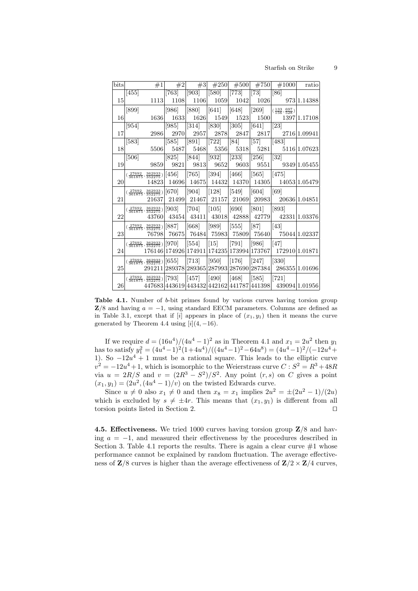#### Starfish on Strike 9

| bits | #1                                                   | #2                 | #3                     | #250                   | #500                | #750                   | #1000                                                     | ratio         |
|------|------------------------------------------------------|--------------------|------------------------|------------------------|---------------------|------------------------|-----------------------------------------------------------|---------------|
|      | $[455]$                                              | $[763]$            | $\left[903\right]$     | [580]                  | $[773]$             | [73]                   | [86]                                                      |               |
| 15   | 1113                                                 | 1108               | 1106                   | 1059                   | 1042                | 1026                   |                                                           | 973 1.14388   |
|      | [899]                                                | $[986]$            | [880]                  | $\vert\vert 641 \vert$ | [648]               | $\vert$ [269]          | $(\frac{133}{156}, \frac{697}{528})$                      |               |
| 16   | 1636                                                 | 1633               | 1626                   | 1549                   | 1523                | 1500                   |                                                           | 1397 1.17108  |
|      | 954                                                  | [985]              | $\left[314\right]$     | [830]                  | $\left[305\right]$  | $\left[641\right]$     | [23]                                                      |               |
| 17   | 2986                                                 | 2970               | 2957                   | 2878                   | 2847                | 2817                   |                                                           | 2716 1.09941  |
|      | $[583]$                                              | $[585]$            | [891]                  | 722                    | [84]                | [57]                   | [483]                                                     |               |
| 18   | 5506                                                 | 5487               | 5468                   | 5356                   |                     | 5318 5281              | 5116 1.07623                                              |               |
|      | [506]                                                | $\left[825\right]$ | [844]                  | 932                    | $\vert$ [233]       | [256]                  | $\left[32\right]$                                         |               |
| 19   | 9859                                                 | 9821               | 9813                   | 9652                   | 9603                |                        | 9551 9349 1.05455                                         |               |
|      | $(\frac{27692}{361875},\frac{362933}{352275}) [456]$ |                    | $\vert [765] \vert$    | 394                    | $\vert [466] \vert$ | $\vert\vert 565 \vert$ | [475]                                                     |               |
| 20   | 14823                                                | 14696              |                        | 14675   14432          |                     |                        | 14370 14305 14053 1.05479                                 |               |
|      | $(\frac{27692}{361875},\frac{362933}{352275}) [670]$ |                    | $\vert [904] \vert$    | $\vert [128] \vert$    | [549]               | [604]                  | [69]                                                      |               |
| 21   | 21637                                                |                    | 21499 21467            | 21157                  |                     | 21069 20983            |                                                           | 20636 1.04851 |
|      | $(\frac{27692}{361875},\frac{362933}{352275}) [903]$ |                    | $\vert [704] \vert$    | $\vert [105] \vert$    | [690]               | $\vert [801] \vert$    | $[893]$                                                   |               |
| 22   | 43760                                                | 43454              |                        |                        |                     |                        | 43411 43018 42888 42779 42331 1.03376                     |               |
|      | $(\frac{27692}{361875},\frac{362933}{352275}) [887]$ |                    | $\vert\vert 668\rvert$ | [989]                  | [555]               | [87]                   | [43]                                                      |               |
| 23   | 76798                                                | 76675              |                        | 76484 75983            |                     |                        | 75809 75640 75044 1.02337                                 |               |
|      | $(\frac{27692}{361875},\frac{362933}{352275}) [970]$ |                    | $\vert$ [554]          | $\vert [15] \vert$     | $[791]$             | $[986]$                | [47]                                                      |               |
| 24   |                                                      |                    |                        |                        |                     |                        | 176146 174926 174911 174235 173994 173767  172910 1.01871 |               |
|      | $(\frac{27692}{361875},\frac{362933}{352275}) [655]$ |                    | $\vert [713] \vert$    | 950]                   | $[176]$             | [247]                  | $\left[330\right]$                                        |               |
| 25   |                                                      |                    |                        |                        |                     |                        | 291211 289378 289365 287993 287690 287384  286355 1.01696 |               |
|      | $(\frac{27692}{361875},\frac{362933}{352275}) [793]$ |                    | $\vert [457] \vert$    | $\vert [490] \vert$    | [468]               | [585]                  | 721                                                       |               |
| 26   |                                                      |                    |                        |                        |                     |                        | 447683 443619 443432 442162 441787 441398 439094 1.01956  |               |

Table 4.1. Number of b-bit primes found by various curves having torsion group  $\mathbf{Z}/8$  and having  $a = -1$ , using standard EECM parameters. Columns are defined as in Table 3.1, except that if  $[i]$  appears in place of  $(x_1, y_1)$  then it means the curve generated by Theorem 4.4 using  $[i](4, -16)$ .

If we require  $d = (16u^4)/(4u^4 - 1)^2$  as in Theorem 4.1 and  $x_1 = 2u^2$  then  $y_1$ has to satisfy  $y_1^2 = (4u^4 - 1)^2(1+4u^4)/((4u^4 - 1)^2 - 64u^8) = (4u^4 - 1)^2/(-12u^4 +$ 1). So  $-12u^4 + 1$  must be a rational square. This leads to the elliptic curve  $v^2 = -12u^4 + 1$ , which is isomorphic to the Weierstrass curve  $C : S^2 = R^3 + 48R$ via  $u = 2R/S$  and  $v = (2R^3 - S^2)/S^2$ . Any point  $(r, s)$  on C gives a point  $(x_1, y_1) = (2u^2, (4u^4 - 1)/v)$  on the twisted Edwards curve.

Since  $u \neq 0$  also  $x_1 \neq 0$  and then  $x_8 = x_1$  implies  $2u^2 = \pm (2u^2 - 1)/(2u)$ which is excluded by  $s \neq \pm 4r$ . This means that  $(x_1, y_1)$  is different from all torsion points listed in Section 2.  $\Box$ 

4.5. Effectiveness. We tried 1000 curves having torsion group Z/8 and having  $a = -1$ , and measured their effectiveness by the procedures described in Section 3. Table 4.1 reports the results. There is again a clear curve  $#1$  whose performance cannot be explained by random fluctuation. The average effectiveness of  $\mathbb{Z}/8$  curves is higher than the average effectiveness of  $\mathbb{Z}/2 \times \mathbb{Z}/4$  curves,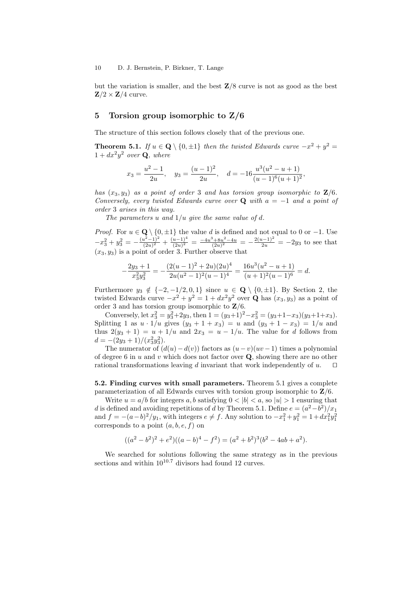but the variation is smaller, and the best  $\mathbb{Z}/8$  curve is not as good as the best  $\mathbf{Z}/2 \times \mathbf{Z}/4$  curve.

### 5 Torsion group isomorphic to Z/6

The structure of this section follows closely that of the previous one.

**Theorem 5.1.** If  $u \in \mathbf{Q} \setminus \{0, \pm 1\}$  then the twisted Edwards curve  $-x^2 + y^2 =$  $1 + dx^2y^2$  over **Q**, where

$$
x_3 = \frac{u^2 - 1}{2u}
$$
,  $y_3 = \frac{(u - 1)^2}{2u}$ ,  $d = -16 \frac{u^3(u^2 - u + 1)}{(u - 1)^6(u + 1)^2}$ ,

has  $(x_3, y_3)$  as a point of order 3 and has torsion group isomorphic to  $\mathbf{Z}/6$ . Conversely, every twisted Edwards curve over Q with  $a = -1$  and a point of order 3 arises in this way.

The parameters u and  $1/u$  give the same value of d.

−

*Proof.* For  $u \in \mathbf{Q} \setminus \{0, \pm 1\}$  the value d is defined and not equal to 0 or -1. Use  $-x_3^2 + y_3^2 = -\frac{(u^2-1)^2}{(2u)^2}$  $\frac{(u^2-1)^2}{(2u)^2} + \frac{(u-1)^4}{(2u)^2}$  $\frac{(u-1)^4}{(2u)^2} = \frac{-4u^3+8u^2-4u}{(2u)^2} = -\frac{2(u-1)^2}{2u} = -2y_3$  to see that  $(x_3, y_3)$  is a point of order 3. Further observe that

$$
\frac{2y_3+1}{x_3^2y_3^2} = -\frac{(2(u-1)^2+2u)(2u)^4}{2u(u^2-1)^2(u-1)^4} = \frac{16u^3(u^2-u+1)}{(u+1)^2(u-1)^6} = d.
$$

Furthermore  $y_3 \notin \{-2, -1/2, 0, 1\}$  since  $u \in \mathbf{Q} \setminus \{0, \pm 1\}$ . By Section 2, the twisted Edwards curve  $-x^2 + y^2 = 1 + dx^2y^2$  over **Q** has  $(x_3, y_3)$  as a point of order 3 and has torsion group isomorphic to  $\mathbf{Z}/6$ .

Conversely, let  $x_3^2 = y_3^2 + 2y_3$ , then  $1 = (y_3 + 1)^2 - x_3^2 = (y_3 + 1 - x_3)(y_3 + 1 + x_3)$ . Splitting 1 as  $u \cdot 1/u$  gives  $(y_3 + 1 + x_3) = u$  and  $(y_3 + 1 - x_3) = 1/u$  and thus  $2(y_3 + 1) = u + 1/u$  and  $2x_3 = u - 1/u$ . The value for d follows from  $d = -(2y_3 + 1)/(x_3^2y_3^2).$ 

The numerator of  $(d(u)-d(v))$  factors as  $(u-v)(uv-1)$  times a polynomial of degree 6 in  $u$  and  $v$  which does not factor over  $\mathbf{Q}$ , showing there are no other rational transformations leaving d invariant that work independently of  $u$ .  $\square$ 

#### 5.2. Finding curves with small parameters. Theorem 5.1 gives a complete parameterization of all Edwards curves with torsion group isomorphic to  $\mathbf{Z}/6$ .

Write  $u = a/b$  for integers a, b satisfying  $0 < |b| < a$ , so  $|u| > 1$  ensuring that d is defined and avoiding repetitions of d by Theorem 5.1. Define  $e = (a^2 - b^2)/x_1$ and  $f = -(a-b)^2/y_1$ , with integers  $e \neq f$ . Any solution to  $-x_1^2 + y_1^2 = 1 + dx_1^2y_1^2$ corresponds to a point  $(a, b, e, f)$  on

$$
((a2 - b2)2 + e2)((a - b)4 - f2) = (a2 + b2)3(b2 - 4ab + a2).
$$

We searched for solutions following the same strategy as in the previous sections and within  $10^{10.7}$  divisors had found 12 curves.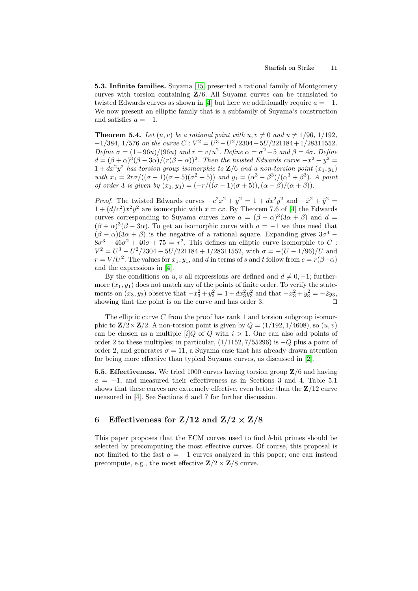<span id="page-10-5"></span><span id="page-10-1"></span>5.3. Infinite families. Suyama [\[15\]](#page-15-6) presented a rational family of Montgomery curves with torsion containing  $\mathbb{Z}/6$ . All Suyama curves can be translated to twisted Edwards curves as shown in [\[4\]](#page-14-1) but here we additionally require  $a = -1$ . We now present an elliptic family that is a subfamily of Suyama's construction and satisfies  $a = -1$ .

**Theorem 5.4.** Let  $(u, v)$  be a rational point with  $u, v \neq 0$  and  $u \neq 1/96$ ,  $1/192$ ,  $-1/384$ , 1/576 on the curve  $C: V^2 = U^3 - U^2/2304 - 5U/221184 + 1/28311552$ . Define  $\sigma = (1 - 96u)/(96u)$  and  $r = v/u^2$ . Define  $\alpha = \sigma^2 - 5$  and  $\beta = 4\sigma$ . Define  $d = (\beta + \alpha)^3(\beta - 3\alpha)/(r(\beta - \alpha))^2$ . Then the twisted Edwards curve  $-x^2 + y^2 =$  $1+dx^2y^2$  has torsion group isomorphic to  $\mathbf{Z}/6$  and a non-torsion point  $(x_1, y_1)$ with  $x_1 = \frac{2r\sigma}{((\sigma - 1)(\sigma + 5)(\sigma^2 + 5))}$  and  $y_1 = (\alpha^3 - \beta^3)/(\alpha^3 + \beta^3)$ . A point of order 3 is given by  $(x_3, y_3) = (-r/((\sigma - 1)(\sigma + 5)), (\alpha - \beta)/(\alpha + \beta)).$ 

<span id="page-10-2"></span>*Proof.* The twisted Edwards curves  $-c^2x^2 + y^2 = 1 + dx^2y^2$  and  $-\bar{x}^2 + \bar{y}^2 =$  $1 + (d/c^2)\bar{x}^2\bar{y}^2$  are isomorphic with  $\bar{x} = cx$ . By Theorem 7.6 of [\[4\]](#page-14-1) the Edwards curves corresponding to Suyama curves have  $a = (\beta - \alpha)^3 (3\alpha + \beta)$  and  $d =$  $(\beta + \alpha)^3 (\beta - 3\alpha)$ . To get an isomorphic curve with  $\alpha = -1$  we thus need that  $(\beta - \alpha)(3\alpha + \beta)$  is the negative of a rational square. Expanding gives  $3\sigma^4$  –  $8\sigma^3 - 46\sigma^2 + 40\sigma + 75 = r^2$ . This defines an elliptic curve isomorphic to C:  $V^2 = U^3 - U^2/2304 - 5U/221184 + 1/28311552$ , with  $\sigma = -(U - 1/96)/U$  and  $r = V / U^2$ . The values for  $x_1, y_1$ , and d in terms of s and t follow from  $c = r(\beta - \alpha)$ and the expressions in [\[4\]](#page-14-1).

<span id="page-10-3"></span>By the conditions on u, v all expressions are defined and  $d \neq 0, -1$ ; furthermore  $(x_1, y_1)$  does not match any of the points of finite order. To verify the statements on  $(x_3, y_3)$  observe that  $-x_3^2 + y_3^2 = 1 + dx_3^2y_3^2$  and that  $-x_3^2 + y_3^2 = -2y_3$ , showing that the point is on the curve and has order 3.  $\square$ 

The elliptic curve  $C$  from the proof has rank 1 and torsion subgroup isomorphic to  $\mathbf{Z}/2 \times \mathbf{Z}/2$ . A non-torsion point is given by  $Q = (1/192, 1/4608)$ , so  $(u, v)$ can be chosen as a multiple  $[i]Q$  of Q with  $i > 1$ . One can also add points of order 2 to these multiples; in particular,  $(1/1152, 7/55296)$  is  $-Q$  plus a point of order 2, and generates  $\sigma = 11$ , a Suyama case that has already drawn attention for being more effective than typical Suyama curves, as discussed in [\[2\]](#page-14-3).

<span id="page-10-4"></span><span id="page-10-0"></span>5.5. Effectiveness. We tried 1000 curves having torsion group  $\mathbf{Z}/6$  and having  $a = -1$ , and measured their effectiveness as in Sections 3 and 4. Table 5.1 shows that these curves are extremely effective, even better than the  $\mathbb{Z}/12$  curve measured in [\[4\]](#page-14-1). See Sections 6 and 7 for further discussion.

# 6 Effectiveness for  $Z/12$  and  $Z/2 \times Z/8$

This paper proposes that the ECM curves used to find b-bit primes should be selected by precomputing the most effective curves. Of course, this proposal is not limited to the fast  $a = -1$  curves analyzed in this paper; one can instead precompute, e.g., the most effective  $\mathbb{Z}/2 \times \mathbb{Z}/8$  curve.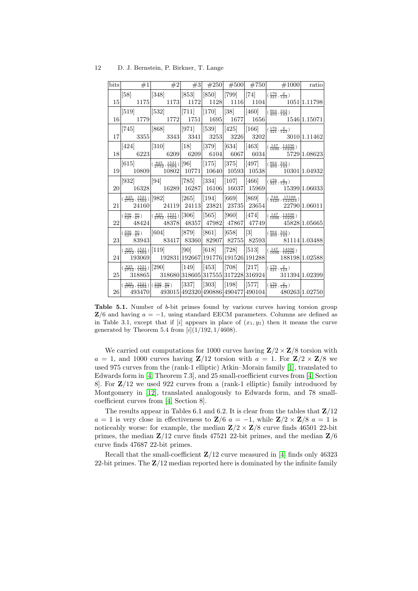| 12 | D. J. Bernstein, P. Birkner, T. Lange |  |  |
|----|---------------------------------------|--|--|
|    |                                       |  |  |

|  |  |  | bits $\begin{array}{c c c c c c c c c} \text{bits} & \#1 & \#2 & \#2 & \#250 & \#500 & \#750 & \#1000 & \text{ratio} \end{array}$                                                                                                                                                                                                                                |  |
|--|--|--|------------------------------------------------------------------------------------------------------------------------------------------------------------------------------------------------------------------------------------------------------------------------------------------------------------------------------------------------------------------|--|
|  |  |  | [58] $\begin{vmatrix} 348 \end{vmatrix}$ $\begin{vmatrix} 853 \end{vmatrix}$ $\begin{vmatrix} 850 \end{vmatrix}$ $\begin{vmatrix} 799 \end{vmatrix}$ $\begin{vmatrix} 74 \end{vmatrix}$ $\begin{vmatrix} \frac{176}{321}, \frac{2}{123} \end{vmatrix}$                                                                                                           |  |
|  |  |  |                                                                                                                                                                                                                                                                                                                                                                  |  |
|  |  |  |                                                                                                                                                                                                                                                                                                                                                                  |  |
|  |  |  | $16 $ 1779 1772 1751 1695 1677 1656 1546 1546 15071                                                                                                                                                                                                                                                                                                              |  |
|  |  |  |                                                                                                                                                                                                                                                                                                                                                                  |  |
|  |  |  | $ 17 $ 3355 3343 3341 3253 3226 3202 3010 1.11462                                                                                                                                                                                                                                                                                                                |  |
|  |  |  |                                                                                                                                                                                                                                                                                                                                                                  |  |
|  |  |  |                                                                                                                                                                                                                                                                                                                                                                  |  |
|  |  |  | $\left  \begin{bmatrix} 615 \end{bmatrix} \right  \left  \frac{825}{2752}, \frac{1521}{1504} \right  \left  \begin{bmatrix} 96 \end{bmatrix} \right  \left  \begin{bmatrix} 175 \end{bmatrix} \right  \left  \begin{bmatrix} 375 \end{bmatrix} \right  \left  \begin{bmatrix} 497 \end{bmatrix} \right  \left  \frac{864}{403}, \frac{343}{143} \right  \right $ |  |
|  |  |  | $19 \begin{array}{c c c c c} \hline 10809 & 10802 & 10771 & 10640 & 10593 & 10538 & 10301 & 1.04932 \end{array}$                                                                                                                                                                                                                                                 |  |
|  |  |  | $\begin{array}{cc}  [932] \end{array}$ $\begin{array}{cc}  [94] \end{array}$ $\begin{array}{cc}  [785] \end{array}$ $\begin{array}{cc}  [334] \end{array}$ $\begin{array}{cc}  [107] \end{array}$ $\begin{array}{cc}  [466] \end{array}$ $\begin{array}{cc} \frac{176}{321}, \frac{2}{123} \end{array}$                                                          |  |
|  |  |  | $20 $ 16328 16289 16287 16106 16037 15969 15399 1.06033                                                                                                                                                                                                                                                                                                          |  |
|  |  |  | $\left  \left( \frac{825}{2752}, \frac{1521}{1504} \right) \right  [982] \right  \left[ 265 \right] \left[ 194 \right] \left[ 669 \right] \left[ 869 \right] \left[ \left( \frac{749}{3420}, \frac{17199}{122324} \right) \right]$                                                                                                                               |  |
|  |  |  |                                                                                                                                                                                                                                                                                                                                                                  |  |
|  |  |  | $\frac{336}{527}, \frac{80}{67}$ $\frac{825}{2752}, \frac{1521}{1504}$ $\left[\frac{306}{30}\right]$ $\left[\frac{565}{3}\right]$ $\left[\frac{960}{474}\right]$ $\left[\frac{147}{1696}, \frac{14336}{10229}\right]$                                                                                                                                            |  |
|  |  |  | $22 \begin{array}{c c c c c c c c} \hline & 48324 & 48378 & 48357 & 47982 & 47867 & 47749 & & 45828 & 1.05665 \\\hline \end{array}$                                                                                                                                                                                                                              |  |
|  |  |  | $\frac{336}{527}, \frac{80}{67}$ [604] [879] [861] [658] [3] $\frac{864}{403}, \frac{343}{143}$                                                                                                                                                                                                                                                                  |  |
|  |  |  | $23$ 83943 83417 83360 82907 82755 82593 81114 1.03488                                                                                                                                                                                                                                                                                                           |  |
|  |  |  | $\left  \left( \frac{825}{2752}, \frac{1521}{1504} \right) \right  [119] \right  [90] \left  [618] \right  [728] \left  [513] \right  \left  \left( \frac{147}{1696}, \frac{14336}{10229} \right) \right $                                                                                                                                                       |  |
|  |  |  | $24$ 193069 192831 192667 191776 191526 191288 188198 1.02588                                                                                                                                                                                                                                                                                                    |  |
|  |  |  | $\left  \left( \frac{825}{2752}, \frac{1521}{1504} \right) \right  [290] \right  \left[ 149 \right] \left[ 453 \right] \left[ 708 \right] \left[ 217 \right] \left[ \left( \frac{176}{321}, \frac{2}{123} \right) \right]$                                                                                                                                       |  |
|  |  |  | $25$ 318865 318680 318605 317555 317228 316924 311394 1.02399                                                                                                                                                                                                                                                                                                    |  |
|  |  |  | $\left  \left( \frac{825}{2752}, \frac{1521}{1504} \right) \right  \left( \frac{336}{527}, \frac{80}{67} \right) \right  [337] = [303] = [198] = [577] = \left  \left( \frac{176}{321}, \frac{2}{123} \right) \right $                                                                                                                                           |  |
|  |  |  | $26$ 493470 493015 492320 490886 490477 490104 480263 1.02750                                                                                                                                                                                                                                                                                                    |  |

Table 5.1. Number of b-bit primes found by various curves having torsion group  $\mathbf{Z}/6$  and having  $a = -1$ , using standard EECM parameters. Columns are defined as in Table 3.1, except that if  $[i]$  appears in place of  $(x_1, y_1)$  then it means the curve generated by Theorem 5.4 from  $[i](1/192, 1/4608)$ .

<span id="page-11-2"></span><span id="page-11-1"></span><span id="page-11-0"></span>We carried out computations for 1000 curves having  $\mathbf{Z}/2 \times \mathbf{Z}/8$  torsion with  $a = 1$ , and 1000 curves having  $\mathbf{Z}/12$  torsion with  $a = 1$ . For  $\mathbf{Z}/2 \times \mathbf{Z}/8$  we used 975 curves from the (rank-1 elliptic) Atkin–Morain family [\[1\]](#page-14-5), translated to Edwards form in [\[4,](#page-14-1) Theorem 7.3], and 25 small-coefficient curves from [\[4,](#page-14-1) Section 8. For  $\mathbb{Z}/12$  we used 922 curves from a (rank-1 elliptic) family introduced by Montgomery in [\[12\]](#page-15-4), translated analogously to Edwards form, and 78 smallcoefficient curves from [\[4,](#page-14-1) Section 8].

<span id="page-11-5"></span><span id="page-11-3"></span>The results appear in Tables 6.1 and 6.2. It is clear from the tables that  $\mathbb{Z}/12$  $a = 1$  is very close in effectiveness to  $\mathbf{Z}/6$   $a = -1$ , while  $\mathbf{Z}/2 \times \mathbf{Z}/8$   $a = 1$  is noticeably worse: for example, the median  $\mathbb{Z}/2 \times \mathbb{Z}/8$  curve finds 46501 22-bit primes, the median  $\mathbb{Z}/12$  curve finds 47521 22-bit primes, and the median  $\mathbb{Z}/6$ curve finds 47687 22-bit primes.

<span id="page-11-4"></span>Recall that the small-coefficient  $\mathbb{Z}/12$  curve measured in [\[4\]](#page-14-1) finds only 46323 22-bit primes. The  $\mathbb{Z}/12$  median reported here is dominated by the infinite family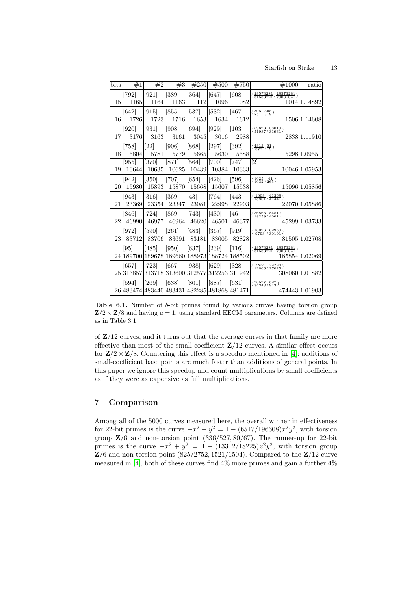#### Starfish on Strike 13

| $_{\text{bits}}$ | #1                                           | #2                 | #3                             | #250       | #500               | #750    | $\#1000$                                                                                                                                                                         | ratio          |
|------------------|----------------------------------------------|--------------------|--------------------------------|------------|--------------------|---------|----------------------------------------------------------------------------------------------------------------------------------------------------------------------------------|----------------|
|                  | 792                                          | [921]              | [389]                          | <b>364</b> | [647]              | [608]   | $(\frac{29573281}{31533721}, \frac{29573281}{79031041})$                                                                                                                         |                |
| 15               | 1165                                         | 1164               | 1163                           | 1112       | 1096               | 1082    |                                                                                                                                                                                  | 1014 1.14892   |
|                  | [642]                                        | [915]              | [855]                          | [537]      | $\left[532\right]$ | $[467]$ | $(\frac{305}{851},\frac{305}{319})$                                                                                                                                              |                |
| 16               | 1726                                         | 1723               | 1716                           | 1653       | 1634               | 1612    |                                                                                                                                                                                  | 1506 1.14608   |
|                  | [920]                                        | [931]              | [908]                          | [694]      | [929]              | $[103]$ | $(\frac{89623}{51987}, \frac{33019}{31961})$                                                                                                                                     |                |
| 17               | 3176                                         | 3163               | 3161                           | 3045       | 3016               | 2988    |                                                                                                                                                                                  | 2838 1.11910   |
|                  | [758]                                        | [22]               | [906]                          | [868]      | [297]              | $[392]$ | $(\frac{4913}{377}, \frac{51}{19})$                                                                                                                                              |                |
| 18               | 5804                                         | 5781               | 5779                           | 5665       | 5630               | 5588    |                                                                                                                                                                                  | 5298 1.09551   |
|                  | 955                                          | [370]              | $\left\lceil 871 \right\rceil$ | [564]      | [700]              | [747]   | $[2] % \includegraphics[width=1\textwidth]{images/TrDiM-Architecture.png} \caption{The figure shows the number of parameters in the left and right.} \label{TrDiM-Architecture}$ |                |
| 19               | 10644                                        | 10635              | 10625                          | 10439      | 10384              | 10333   |                                                                                                                                                                                  | 10046 1.05953  |
|                  | [942]                                        | $\left[350\right]$ | [707]                          | [654]      | $[426]$            | [596]   | $(\frac{1025}{1032},\frac{41}{265})$                                                                                                                                             |                |
| 20               | 15980                                        | 15893              | 15870                          | 15668      | 15607              | 15538   |                                                                                                                                                                                  | 15096 1.05856  |
|                  | [943]                                        | $\left[316\right]$ | [369]                          | [43]       | [764]              | [443]   | $(\frac{1009}{15801}, \frac{41369}{41441})$                                                                                                                                      |                |
| 21               | 23369                                        | 23354              | 23347                          | 23081      | 22998              | 22903   |                                                                                                                                                                                  | 22070 1.05886  |
|                  | 846                                          | [724]              | [869]                          | [743]      | [430]              | [46]    | $\frac{86866}{18259}, \frac{8481}{4001}$ )                                                                                                                                       |                |
| 22               | 46990                                        | 46977              | 46964                          | 46620      | 46501              | 46377   |                                                                                                                                                                                  | 45299 1.03733  |
|                  | [972]                                        | [590]              | [261]                          | [483]      | [367]              | [919]   | $(\frac{18096}{9793}, \frac{62959}{30191})$                                                                                                                                      |                |
| 23               | 83712                                        | 83706              | 83691                          | 83181      | 83005              | 82828   |                                                                                                                                                                                  | 81505 1.02708  |
|                  | [95]                                         | <sup>[485]</sup>   | [950]                          | [637]      | 239                | 116     | $\frac{29573281}{31533721},\frac{29573281}{79031041})$                                                                                                                           |                |
|                  | 24 189700 189678 189660                      |                    |                                | 188973     | 188724             | 188502  |                                                                                                                                                                                  | 185854 1.02069 |
|                  | 657                                          | [723]              | [667]                          | [938]      | [629]              | [328]   | $(\frac{7825}{12866}, \frac{22223}{27025})$                                                                                                                                      |                |
| 25               | 313857                                       |                    | 313718 313600                  | 312577     | 312253             | 311942  |                                                                                                                                                                                  | 308060 1.01882 |
|                  | 594                                          | 269                | [638]                          | 801        | [887]              | [631]   | $(\frac{28577}{34343},\frac{527}{943})$                                                                                                                                          |                |
|                  | 26 483474 483440 483431 482285 481868 481471 |                    |                                |            |                    |         |                                                                                                                                                                                  | 474443 1.01903 |

**Table 6.1.** Number of  $b$ -bit primes found by various curves having torsion group  $\mathbb{Z}/2 \times \mathbb{Z}/8$  and having  $a = 1$ , using standard EECM parameters. Columns are defined as in Table 3.1.

<span id="page-12-0"></span>of  $\mathbb{Z}/12$  curves, and it turns out that the average curves in that family are more effective than most of the small-coefficient  $\mathbb{Z}/12$  curves. A similar effect occurs for  $\mathbb{Z}/2 \times \mathbb{Z}/8$ . Countering this effect is a speedup mentioned in [\[4\]](#page-14-1): additions of small-coefficient base points are much faster than additions of general points. In this paper we ignore this speedup and count multiplications by small coefficients as if they were as expensive as full multiplications.

# 7 Comparison

<span id="page-12-1"></span>Among all of the 5000 curves measured here, the overall winner in effectiveness for 22-bit primes is the curve  $-x^2 + y^2 = 1 - (6517/196608)x^2y^2$ , with torsion group  $\mathbb{Z}/6$  and non-torsion point  $(336/527, 80/67)$ . The runner-up for 22-bit primes is the curve  $-x^2 + y^2 = 1 - (13312/18225)x^2y^2$ , with torsion group  $\mathbb{Z}/6$  and non-torsion point (825/2752, 1521/1504). Compared to the  $\mathbb{Z}/12$  curve measured in [\[4\]](#page-14-1), both of these curves find  $4\%$  more primes and gain a further  $4\%$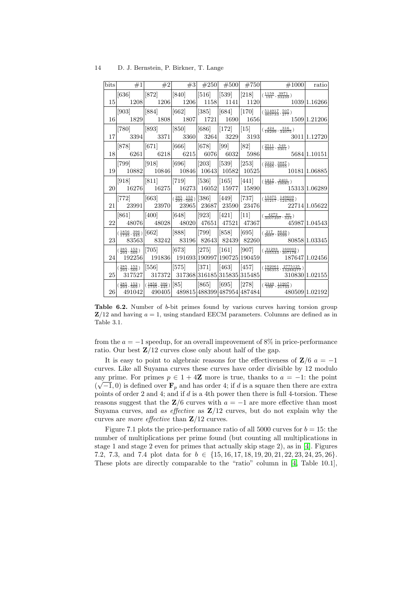| bits | $#1$ $#2$ $#3$                                                                                                                                                                                  |  |                                                                         |                     | $\#250$ $\#500$ $\#750$ $\#1000$ ratio                                                                                                                                  |                |
|------|-------------------------------------------------------------------------------------------------------------------------------------------------------------------------------------------------|--|-------------------------------------------------------------------------|---------------------|-------------------------------------------------------------------------------------------------------------------------------------------------------------------------|----------------|
|      | $[636]$ $[872]$ $[840]$ $[516]$ $[539]$ $[218]$                                                                                                                                                 |  |                                                                         |                     | $(\frac{1159}{191}, \frac{3971}{33239})$                                                                                                                                |                |
|      |                                                                                                                                                                                                 |  |                                                                         |                     | $\begin{array}{ c c c c c c c c c } \hline 1208 & 1206 & 1206 & 1158 & 1141 & 1120 & & & 1039 & 1.16266 \ \hline \end{array}$                                           |                |
|      |                                                                                                                                                                                                 |  |                                                                         |                     | $[903]$ $[884]$ $[662]$ $[385]$ $[684]$ $[170]$ $(\frac{514917}{463733}, \frac{507}{277})$                                                                              |                |
|      |                                                                                                                                                                                                 |  |                                                                         |                     |                                                                                                                                                                         |                |
|      |                                                                                                                                                                                                 |  |                                                                         |                     | [780] $ 893 $ $ 850 $ $ 686 $ $ 172 $ $ 15 $ $ (\frac{424}{18299}, \frac{316}{34075})$ $ $                                                                              |                |
|      |                                                                                                                                                                                                 |  |                                                                         |                     |                                                                                                                                                                         |                |
|      |                                                                                                                                                                                                 |  |                                                                         |                     | $\overline{[878]} \qquad  [671] \qquad  [666] \qquad  [678] \qquad  [99] \qquad  [82] \qquad  (\frac{2511}{4931}, \frac{549}{3301}) \qquad  $                           |                |
|      |                                                                                                                                                                                                 |  |                                                                         |                     |                                                                                                                                                                         |                |
|      |                                                                                                                                                                                                 |  |                                                                         |                     | $[799] \qquad \big  [918] \qquad \big  [696] \qquad \big  [203] \quad \big  [539] \quad \big  [253] \quad \big  (\frac{2223}{1165}, \frac{3887}{4055})$                 |                |
|      |                                                                                                                                                                                                 |  |                                                                         |                     |                                                                                                                                                                         |                |
|      |                                                                                                                                                                                                 |  |                                                                         |                     | $[918] \qquad \big  [811] \qquad \big  [719] \qquad \big  [536] \quad \big  [165] \quad \big  [441] \quad \big  (\frac{1817}{4267}, \frac{2401}{10081})$                |                |
|      |                                                                                                                                                                                                 |  |                                                                         |                     | $20\big  \quad 16276 \big  \quad 16275 \big  \quad 16273 \big  \quad 16052 \big  \quad 15977 \big  \quad 15890 \big  \qquad \qquad 15313 \big  1.06289$                 |                |
|      |                                                                                                                                                                                                 |  |                                                                         |                     | $[772]$ $ [663]$ $(\frac{285}{293}, \frac{153}{569}) [386]$ $ [449]$ $ [737]$ $ (\frac{15375}{31217}, \frac{149609}{124766}) $                                          |                |
|      |                                                                                                                                                                                                 |  |                                                                         |                     | $21 \mid 23991 \mid 23970 \mid 23965 \mid 23687 \mid 23590 \mid 23476 \mid 22714 \mid 1.05622$                                                                          |                |
|      | $[861]$ $[400]$ $[648]$ $[923]$ $[421]$ $[11]$                                                                                                                                                  |  |                                                                         |                     | $\left( \frac{4272}{3007397}, \frac{80}{323} \right)$                                                                                                                   |                |
| 22   |                                                                                                                                                                                                 |  |                                                                         |                     | $\left. 48076 \right  \quad \left. 48028 \right  \quad 48020 \right  \left. 47651 \right  \left. 47521 \right  \left. 47367 \right  \quad \left. 45987 \right  1.04543$ |                |
|      | $\left  \left( \frac{1856}{1735}, \frac{396}{445} \right) \right  [662] \qquad \left  [888] \qquad \left  [799] \quad \left  [858] \quad \right  [695] \right $                                 |  |                                                                         |                     | $\left( \frac{217}{2687}, \frac{8649}{8599} \right)$                                                                                                                    |                |
|      |                                                                                                                                                                                                 |  |                                                                         |                     | $\begin{array}{ c c c c c c c c } \hline 23 & 83563 & 83242 & 83196 & 82643 & 82439 & 82260 & & & 80858 & 1.03345 \ \hline \end{array}$                                 |                |
|      | $\left  \left( \frac{285}{293}, \frac{153}{569} \right) \right  \left[ 705 \right] \qquad \left  \left[ 673 \right] \qquad \left  \left[ 275 \right] \right  \left  \left[ 161 \right] \right $ |  |                                                                         | [907]               | $\left( \frac{31293}{105533}, \frac{160003}{307178} \right)$                                                                                                            |                |
|      |                                                                                                                                                                                                 |  |                                                                         |                     | $24$ 192256 191836 191693 190997 190725 190459 187647 1.02456                                                                                                           |                |
|      | $\frac{(285}{293}, \frac{153}{569})$ [556] [575] [371]                                                                                                                                          |  | [463]                                                                   | $\vert [457] \vert$ | $\left( \frac{192061}{196355}, \frac{2775125}{13288277} \right)$                                                                                                        |                |
|      | $25\begin{array}{ c c c c c } \hline 317527 & 317372 & 317368 & 316185 & 315835 & 315485 \ \hline \end{array}$                                                                                  |  |                                                                         |                     |                                                                                                                                                                         | 310830 1.02155 |
|      | $\left  \left( \frac{285}{293}, \frac{153}{569} \right) \right  \left( \frac{1856}{1735}, \frac{396}{445} \right) \right  [85] \qquad \left  [865] \right $                                     |  | $\begin{bmatrix} 695 \end{bmatrix}$ $\begin{bmatrix} 278 \end{bmatrix}$ |                     | $\left( \frac{2349}{199}, \frac{11907}{21733} \right)$                                                                                                                  |                |
|      |                                                                                                                                                                                                 |  |                                                                         |                     | $26\begin{vmatrix} 26 & 491042 & 490405 \\ 490405 & 489815 & 488399 & 487954 & 487484 \end{vmatrix}$ 480509 1.02192                                                     |                |

Table 6.2. Number of b-bit primes found by various curves having torsion group  $\mathbb{Z}/12$  and having  $a = 1$ , using standard EECM parameters. Columns are defined as in Table 3.1.

from the  $a = -1$  speedup, for an overall improvement of 8% in price-performance ratio. Our best  $\mathbb{Z}/12$  curves close only about half of the gap.

It is easy to point to algebraic reasons for the effectiveness of  $\mathbf{Z}/6$   $a = -1$ curves. Like all Suyama curves these curves have order divisible by 12 modulo any prime. For primes  $p \in 1 + 4\mathbb{Z}$  more is true, thanks to  $a = -1$ : the point  $(\sqrt{-1},0)$  is defined over  $\mathbf{F}_p$  and has order 4; if d is a square then there are extra points of order 2 and 4; and if  $d$  is a 4th power then there is full 4-torsion. These reasons suggest that the  $\mathbb{Z}/6$  curves with  $a = -1$  are more effective than most Suyama curves, and as effective as  $\mathbb{Z}/12$  curves, but do not explain why the curves are *more effective* than  $\mathbb{Z}/12$  curves.

<span id="page-13-1"></span><span id="page-13-0"></span>Figure 7.1 plots the price-performance ratio of all 5000 curves for  $b = 15$ ; the number of multiplications per prime found (but counting all multiplications in stage 1 and stage 2 even for primes that actually skip stage 2), as in [\[4\]](#page-14-1). Figures 7.2, 7.3, and 7.4 plot data for b ∈ {15, 16, 17, 18, 19, 20, 21, 22, 23, 24, 25, 26}. These plots are directly comparable to the "ratio" column in [\[4,](#page-14-1) Table 10.1],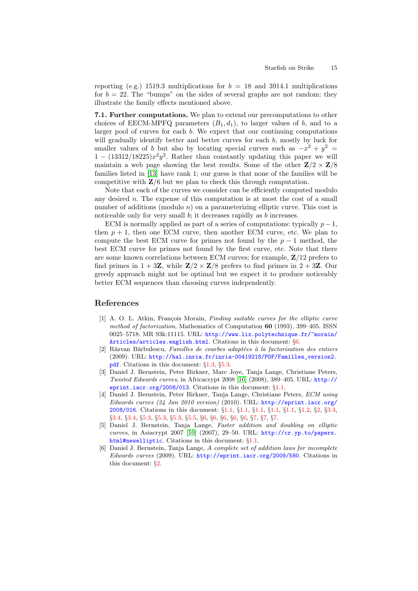reporting (e.g.) 1519.3 multiplications for  $b = 18$  and 3914.1 multiplications for  $b = 22$ . The "bumps" on the sides of several graphs are not random: they illustrate the family effects mentioned above.

7.1. Further computations. We plan to extend our precomputations to other choices of EECM-MPFQ parameters  $(B_1, d_1)$ , to larger values of b, and to a larger pool of curves for each b. We expect that our continuing computations will gradually identify better and better curves for each b, mostly by luck for smaller values of b but also by locating special curves such as  $-x^2 + y^2 =$  $1 - (13312/18225)x^2y^2$ . Rather than constantly updating this paper we will maintain a web page showing the best results. Some of the other  $\mathbb{Z}/2 \times \mathbb{Z}/8$ families listed in [\[13\]](#page-15-5) have rank 1; our guess is that none of the families will be competitive with  $\mathbb{Z}/6$  but we plan to check this through computation.

<span id="page-14-7"></span>Note that each of the curves we consider can be efficiently computed modulo any desired  $n$ . The expense of this computation is at most the cost of a small number of additions (modulo  $n$ ) on a parameterizing elliptic curve. This cost is noticeable only for very small  $b$ ; it decreases rapidly as  $b$  increases.

ECM is normally applied as part of a series of computations: typically  $p-1$ , then  $p + 1$ , then one ECM curve, then another ECM curve, etc. We plan to compute the best ECM curve for primes not found by the  $p-1$  method, the best ECM curve for primes not found by the first curve, etc. Note that there are some known correlations between ECM curves; for example, Z/12 prefers to find primes in  $1 + 3\mathbb{Z}$ , while  $\mathbb{Z}/2 \times \mathbb{Z}/8$  prefers to find primes in  $2 + 3\mathbb{Z}$ . Our greedy approach might not be optimal but we expect it to produce noticeably better ECM sequences than choosing curves independently.

### References

- <span id="page-14-5"></span>[1] A. O. L. Atkin, François Morain, *Finding suitable curves for the elliptic curve* method of factorization, Mathematics of Computation 60 (1993), 399–405. ISSN 0025–5718. MR 93k:11115. URL: [http://www.lix.polytechnique.fr/~morain/](http://www.lix.polytechnique.fr/~morain/Articles/articles.english.html) [Articles/articles.english.html](http://www.lix.polytechnique.fr/~morain/Articles/articles.english.html). Citations in this document: §[6](#page-11-0).
- <span id="page-14-3"></span>[2] Răzvan Bărbulescu, Familles de courbes adaptées à la factorisation des entiers (2009). URL: [http://hal.inria.fr/inria-00419218/PDF/Familles\\_version2.](http://hal.inria.fr/inria-00419218/PDF/Familles_version2.pdf) [pdf](http://hal.inria.fr/inria-00419218/PDF/Familles_version2.pdf). Citations in this document: §[1.3,](#page-2-0) §[5.3.](#page-10-0)
- <span id="page-14-8"></span><span id="page-14-2"></span>[3] Daniel J. Bernstein, Peter Birkner, Marc Joye, Tanja Lange, Christiane Peters, Twisted Edwards curves, in Africacrypt 2008 [\[16\]](#page-15-7) (2008), 389–405. URL: [http://](http://eprint.iacr.org/2008/013) [eprint.iacr.org/2008/013](http://eprint.iacr.org/2008/013). Citations in this document: §[1.1](#page-1-0).
- <span id="page-14-1"></span>[4] Daniel J. Bernstein, Peter Birkner, Tanja Lange, Christiane Peters, ECM using Edwards curves (24 Jan 2010 version) (2010). URL: [http://eprint.iacr.org/](http://eprint.iacr.org/2008/016) [2008/016](http://eprint.iacr.org/2008/016). Citations in this document: §[1.1](#page-1-1), §[1.1](#page-1-2), §[1.1](#page-2-1), §[1.1](#page-2-2), §[1.1](#page-2-3), §[1.2](#page-2-4), §[2](#page-3-0), §[3.4](#page-5-0), §[3.4,](#page-5-1) §[3.4,](#page-6-0) §[5.3,](#page-10-1) §[5.3,](#page-10-2) §[5.3,](#page-10-3) §[5.5,](#page-10-4) §[6,](#page-11-1) §[6](#page-11-2), §[6,](#page-11-3) §[6,](#page-11-4) §[6](#page-12-0), §[7,](#page-12-1) §[7,](#page-13-0) §[7](#page-13-1).
- <span id="page-14-6"></span><span id="page-14-0"></span>[5] Daniel J. Bernstein, Tanja Lange, Faster addition and doubling on elliptic curves, in Asiacrypt 2007 [\[10\]](#page-15-8) (2007), 29–50. URL: [http://cr.yp.to/papers.](http://cr.yp.to/papers.html#newelliptic) [html#newelliptic](http://cr.yp.to/papers.html#newelliptic). Citations in this document: §[1.1.](#page-0-0)
- <span id="page-14-4"></span>[6] Daniel J. Bernstein, Tanja Lange, A complete set of addition laws for incomplete Edwards curves (2009). URL: <http://eprint.iacr.org/2009/580>. Citations in this document: §[2.](#page-3-1)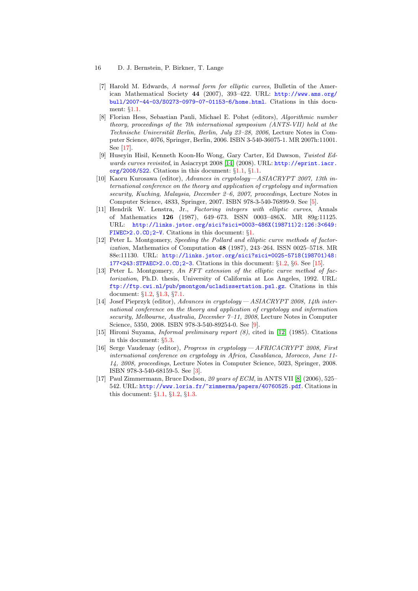#### 16 D. J. Bernstein, P. Birkner, T. Lange

- <span id="page-15-1"></span>[7] Harold M. Edwards, A normal form for elliptic curves, Bulletin of the American Mathematical Society 44 (2007), 393–422. URL: [http://www.ams.org/](http://www.ams.org/bull/2007-44-03/S0273-0979-07-01153-6/home.html) [bull/2007-44-03/S0273-0979-07-01153-6/home.html](http://www.ams.org/bull/2007-44-03/S0273-0979-07-01153-6/home.html). Citations in this document: §[1.1.](#page-0-1)
- <span id="page-15-13"></span>[8] Florian Hess, Sebastian Pauli, Michael E. Pohst (editors), Algorithmic number theory, proceedings of the 7th international symposium (ANTS-VII) held at the Technische Universität Berlin, Berlin, July 23–28, 2006, Lecture Notes in Computer Science, 4076, Springer, Berlin, 2006. ISBN 3-540-36075-1. MR 2007h:11001. See [\[17](#page-15-9)].
- <span id="page-15-12"></span><span id="page-15-3"></span>[9] Huseyin Hisil, Kenneth Koon-Ho Wong, Gary Carter, Ed Dawson, Twisted Edwards curves revisited, in Asiacrypt 2008 [\[14\]](#page-15-10) (2008). URL: [http://eprint.iacr.](http://eprint.iacr.org/2008/522) [org/2008/522](http://eprint.iacr.org/2008/522). Citations in this document: §[1.1,](#page-2-5) §[1.1](#page-2-6).
- <span id="page-15-8"></span>[10] Kaoru Kurosawa (editor), Advances in cryptology—ASIACRYPT 2007, 13th international conference on the theory and application of cryptology and information security, Kuching, Malaysia, December 2–6, 2007, proceedings, Lecture Notes in Computer Science, 4833, Springer, 2007. ISBN 978-3-540-76899-9. See [[5](#page-14-6)].
- <span id="page-15-0"></span>[11] Hendrik W. Lenstra, Jr., Factoring integers with elliptic curves, Annals of Mathematics 126 (1987), 649–673. ISSN 0003–486X. MR 89g:11125. URL: [http://links.jstor.org/sici?sici=0003-486X\(198711\)2:126:3<649:](http://links.jstor.org/sici?sici=0003-486X(198711)2:126:3<649:FIWEC>2.0.CO;2-V) [FIWEC>2.0.CO;2-V](http://links.jstor.org/sici?sici=0003-486X(198711)2:126:3<649:FIWEC>2.0.CO;2-V). Citations in this document: §[1.](#page-0-2)
- <span id="page-15-4"></span>[12] Peter L. Montgomery, Speeding the Pollard and elliptic curve methods of factorization, Mathematics of Computation 48 (1987), 243–264. ISSN 0025–5718. MR 88e:11130. URL: [http://links.jstor.org/sici?sici=0025-5718\(198701\)48:](http://links.jstor.org/sici?sici=0025-5718(198701)48:177<243:STPAEC>2.0.CO;2-3) [177<243:STPAEC>2.0.CO;2-3](http://links.jstor.org/sici?sici=0025-5718(198701)48:177<243:STPAEC>2.0.CO;2-3). Citations in this document: §[1.2](#page-2-7), §[6](#page-11-5). See [[15](#page-15-11)].
- <span id="page-15-5"></span>[13] Peter L. Montgomery, An FFT extension of the elliptic curve method of factorization, Ph.D. thesis, University of California at Los Angeles, 1992. URL: <ftp://ftp.cwi.nl/pub/pmontgom/ucladissertation.psl.gz>. Citations in this document: §[1.2](#page-2-8), §[1.3,](#page-2-9) §[7.1](#page-14-7).
- <span id="page-15-10"></span>[14] Josef Pieprzyk (editor), Advances in cryptology— ASIACRYPT 2008, 14th international conference on the theory and application of cryptology and information security, Melbourne, Australia, December 7–11, 2008, Lecture Notes in Computer Science, 5350, 2008. ISBN 978-3-540-89254-0. See [[9](#page-15-12)].
- <span id="page-15-11"></span><span id="page-15-6"></span>[15] Hiromi Suyama, Informal preliminary report (8), cited in [\[12\]](#page-15-4) (1985). Citations in this document: §[5.3.](#page-10-5)
- <span id="page-15-7"></span>[16] Serge Vaudenay (editor), Progress in cryptology— AFRICACRYPT 2008, First international conference on cryptology in Africa, Casablanca, Morocco, June 11- 14, 2008, proceedings, Lecture Notes in Computer Science, 5023, Springer, 2008. ISBN 978-3-540-68159-5. See [[3](#page-14-8)].
- <span id="page-15-9"></span><span id="page-15-2"></span>[17] Paul Zimmermann, Bruce Dodson, 20 years of ECM, in ANTS VII [\[8\]](#page-15-13) (2006), 525– 542. URL: <http://www.loria.fr/~zimmerma/papers/40760525.pdf>. Citations in this document: §[1.1](#page-1-3), §[1.2,](#page-2-10) §[1.3](#page-2-11).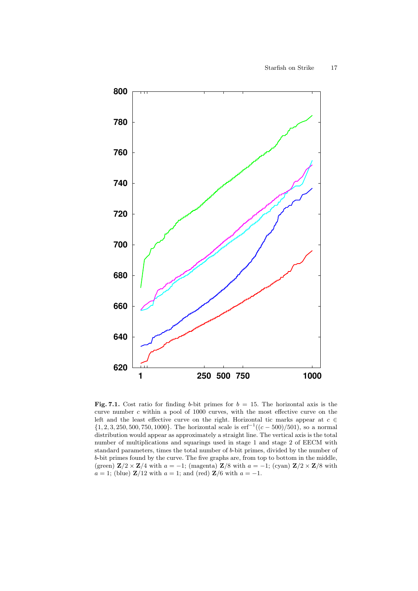

Fig. 7.1. Cost ratio for finding b-bit primes for  $b = 15$ . The horizontal axis is the curve number c within a pool of 1000 curves, with the most effective curve on the left and the least effective curve on the right. Horizontal tic marks appear at  $c \in \mathbb{R}$  $\{1, 2, 3, 250, 500, 750, 1000\}$ . The horizontal scale is  $erf^{-1}((c - 500)/501)$ , so a normal distribution would appear as approximately a straight line. The vertical axis is the total number of multiplications and squarings used in stage 1 and stage 2 of EECM with standard parameters, times the total number of b-bit primes, divided by the number of b-bit primes found by the curve. The five graphs are, from top to bottom in the middle, (green)  $\mathbf{Z}/2 \times \mathbf{Z}/4$  with  $a = -1$ ; (magenta)  $\mathbf{Z}/8$  with  $a = -1$ ; (cyan)  $\mathbf{Z}/2 \times \mathbf{Z}/8$  with  $a = 1$ ; (blue) Z/12 with  $a = 1$ ; and (red) Z/6 with  $a = -1$ .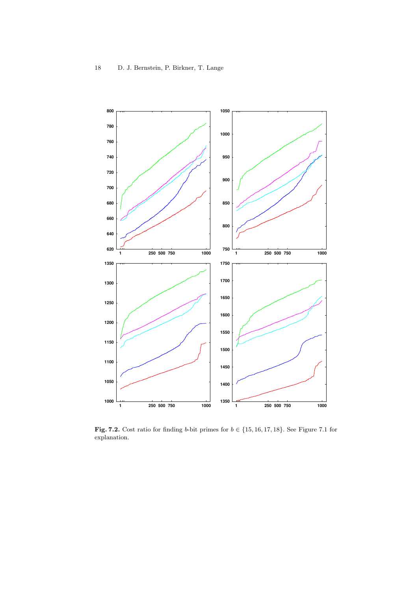

Fig. 7.2. Cost ratio for finding b-bit primes for  $b \in \{15, 16, 17, 18\}$ . See Figure 7.1 for explanation.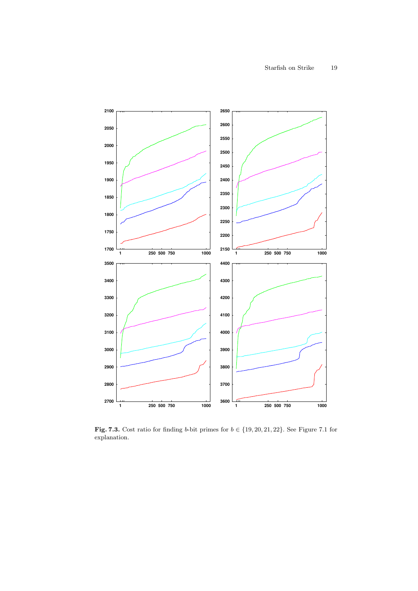

Fig. 7.3. Cost ratio for finding b-bit primes for  $b \in \{19, 20, 21, 22\}$ . See Figure 7.1 for explanation.